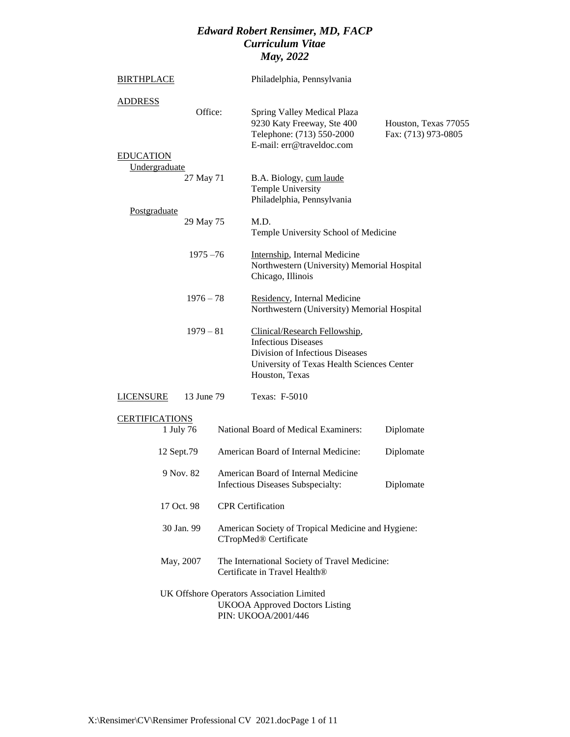| <b>BIRTHPLACE</b>                 |             | Philadelphia, Pennsylvania                                                                                                                                     |                                             |
|-----------------------------------|-------------|----------------------------------------------------------------------------------------------------------------------------------------------------------------|---------------------------------------------|
| <b>ADDRESS</b>                    | Office:     | Spring Valley Medical Plaza<br>9230 Katy Freeway, Ste 400<br>Telephone: (713) 550-2000<br>E-mail: err@traveldoc.com                                            | Houston, Texas 77055<br>Fax: (713) 973-0805 |
| <b>EDUCATION</b><br>Undergraduate |             |                                                                                                                                                                |                                             |
|                                   | 27 May 71   | B.A. Biology, cum laude<br><b>Temple University</b><br>Philadelphia, Pennsylvania                                                                              |                                             |
| Postgraduate                      | 29 May 75   | M.D.<br>Temple University School of Medicine                                                                                                                   |                                             |
|                                   | $1975 - 76$ | Internship, Internal Medicine<br>Northwestern (University) Memorial Hospital<br>Chicago, Illinois                                                              |                                             |
|                                   | $1976 - 78$ | Residency, Internal Medicine<br>Northwestern (University) Memorial Hospital                                                                                    |                                             |
|                                   | $1979 - 81$ | Clinical/Research Fellowship,<br><b>Infectious Diseases</b><br>Division of Infectious Diseases<br>University of Texas Health Sciences Center<br>Houston, Texas |                                             |
| <b>LICENSURE</b>                  | 13 June 79  | Texas: F-5010                                                                                                                                                  |                                             |
| <b>CERTIFICATIONS</b>             | 1 July 76   | National Board of Medical Examiners:                                                                                                                           | Diplomate                                   |
| 12 Sept.79                        |             | American Board of Internal Medicine:                                                                                                                           | Diplomate                                   |
| 9 Nov. 82                         |             | American Board of Internal Medicine<br>Infectious Diseases Subspecialty:                                                                                       | Diplomate                                   |
| 17 Oct. 98                        |             | <b>CPR</b> Certification                                                                                                                                       |                                             |
| 30 Jan. 99                        |             | American Society of Tropical Medicine and Hygiene:<br>CTropMed® Certificate                                                                                    |                                             |
| May, 2007                         |             | The International Society of Travel Medicine:<br>Certificate in Travel Health <sup>®</sup>                                                                     |                                             |
|                                   |             | UK Offshore Operators Association Limited<br><b>UKOOA Approved Doctors Listing</b><br>PIN: UKOOA/2001/446                                                      |                                             |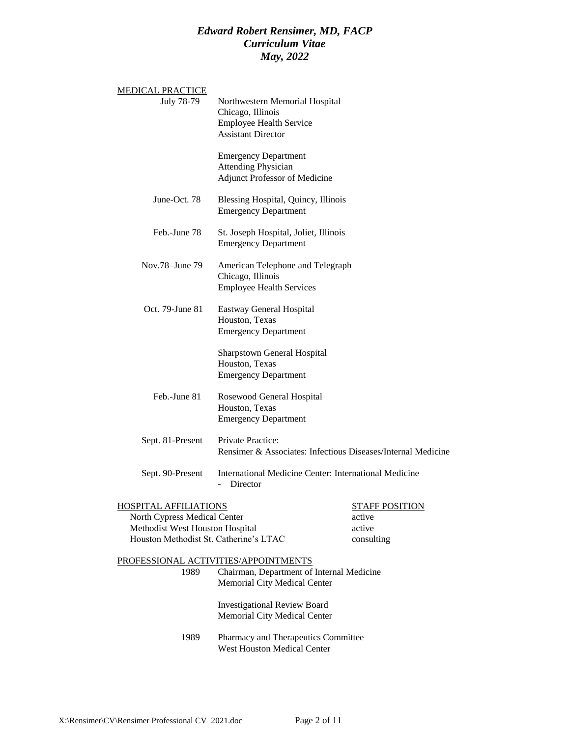| <u>MEDICAL PRACTICE</u>                |                                                                                                                    |                       |
|----------------------------------------|--------------------------------------------------------------------------------------------------------------------|-----------------------|
| July 78-79                             | Northwestern Memorial Hospital<br>Chicago, Illinois<br><b>Employee Health Service</b><br><b>Assistant Director</b> |                       |
|                                        | <b>Emergency Department</b><br><b>Attending Physician</b><br><b>Adjunct Professor of Medicine</b>                  |                       |
| June-Oct. 78                           | Blessing Hospital, Quincy, Illinois<br><b>Emergency Department</b>                                                 |                       |
| Feb.-June 78                           | St. Joseph Hospital, Joliet, Illinois<br><b>Emergency Department</b>                                               |                       |
| Nov.78-June 79                         | American Telephone and Telegraph<br>Chicago, Illinois<br><b>Employee Health Services</b>                           |                       |
| Oct. 79-June 81                        | <b>Eastway General Hospital</b><br>Houston, Texas<br><b>Emergency Department</b>                                   |                       |
|                                        | <b>Sharpstown General Hospital</b><br>Houston, Texas<br><b>Emergency Department</b>                                |                       |
| Feb.-June 81                           | Rosewood General Hospital<br>Houston, Texas<br><b>Emergency Department</b>                                         |                       |
| Sept. 81-Present                       | Private Practice:<br>Rensimer & Associates: Infectious Diseases/Internal Medicine                                  |                       |
| Sept. 90-Present                       | International Medicine Center: International Medicine<br>Director                                                  |                       |
| <b>HOSPITAL AFFILIATIONS</b>           |                                                                                                                    | <b>STAFF POSITION</b> |
| North Cypress Medical Center           |                                                                                                                    | active                |
| Methodist West Houston Hospital        |                                                                                                                    | active                |
| Houston Methodist St. Catherine's LTAC |                                                                                                                    | consulting            |
|                                        | PROFESSIONAL ACTIVITIES/APPOINTMENTS                                                                               |                       |
| 1989                                   | Chairman, Department of Internal Medicine<br>Memorial City Medical Center                                          |                       |
|                                        | <b>Investigational Review Board</b><br>Memorial City Medical Center                                                |                       |
| 1989                                   | Pharmacy and Therapeutics Committee<br>West Houston Medical Center                                                 |                       |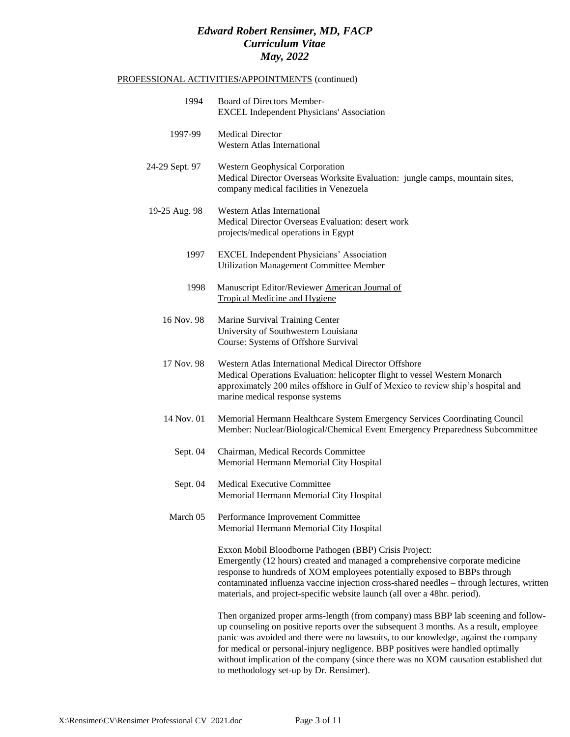#### PROFESSIONAL ACTIVITIES/APPOINTMENTS (continued)

| 1994           | Board of Directors Member-<br><b>EXCEL Independent Physicians' Association</b>                                                                                                                                                                                                                                                                                                                                                                |
|----------------|-----------------------------------------------------------------------------------------------------------------------------------------------------------------------------------------------------------------------------------------------------------------------------------------------------------------------------------------------------------------------------------------------------------------------------------------------|
| 1997-99        | <b>Medical Director</b><br><b>Western Atlas International</b>                                                                                                                                                                                                                                                                                                                                                                                 |
| 24-29 Sept. 97 | <b>Western Geophysical Corporation</b><br>Medical Director Overseas Worksite Evaluation: jungle camps, mountain sites,<br>company medical facilities in Venezuela                                                                                                                                                                                                                                                                             |
| 19-25 Aug. 98  | <b>Western Atlas International</b><br>Medical Director Overseas Evaluation: desert work<br>projects/medical operations in Egypt                                                                                                                                                                                                                                                                                                               |
| 1997           | <b>EXCEL Independent Physicians' Association</b><br><b>Utilization Management Committee Member</b>                                                                                                                                                                                                                                                                                                                                            |
| 1998           | Manuscript Editor/Reviewer American Journal of<br><b>Tropical Medicine and Hygiene</b>                                                                                                                                                                                                                                                                                                                                                        |
| 16 Nov. 98     | Marine Survival Training Center<br>University of Southwestern Louisiana<br>Course: Systems of Offshore Survival                                                                                                                                                                                                                                                                                                                               |
| 17 Nov. 98     | Western Atlas International Medical Director Offshore<br>Medical Operations Evaluation: helicopter flight to vessel Western Monarch<br>approximately 200 miles offshore in Gulf of Mexico to review ship's hospital and<br>marine medical response systems                                                                                                                                                                                    |
| 14 Nov. 01     | Memorial Hermann Healthcare System Emergency Services Coordinating Council<br>Member: Nuclear/Biological/Chemical Event Emergency Preparedness Subcommittee                                                                                                                                                                                                                                                                                   |
| Sept. 04       | Chairman, Medical Records Committee<br>Memorial Hermann Memorial City Hospital                                                                                                                                                                                                                                                                                                                                                                |
| Sept. 04       | Medical Executive Committee<br>Memorial Hermann Memorial City Hospital                                                                                                                                                                                                                                                                                                                                                                        |
| March 05       | Performance Improvement Committee<br>Memorial Hermann Memorial City Hospital                                                                                                                                                                                                                                                                                                                                                                  |
|                | Exxon Mobil Bloodborne Pathogen (BBP) Crisis Project:<br>Emergently (12 hours) created and managed a comprehensive corporate medicine<br>response to hundreds of XOM employees potentially exposed to BBPs through<br>contaminated influenza vaccine injection cross-shared needles - through lectures, written<br>materials, and project-specific website launch (all over a 48hr. period).                                                  |
|                | Then organized proper arms-length (from company) mass BBP lab sceening and follow-<br>up counseling on positive reports over the subsequent 3 months. As a result, employee<br>panic was avoided and there were no lawsuits, to our knowledge, against the company<br>for medical or personal-injury negligence. BBP positives were handled optimally<br>without implication of the company (since there was no XOM causation established dut |

to methodology set-up by Dr. Rensimer).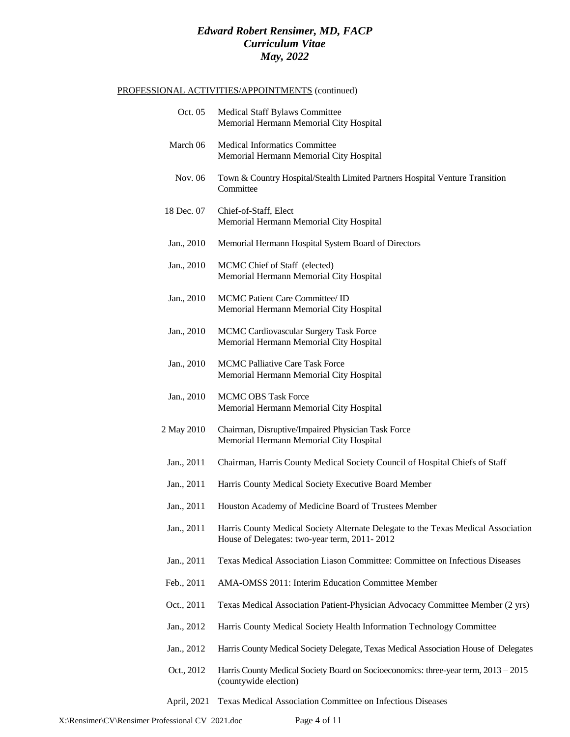#### PROFESSIONAL ACTIVITIES/APPOINTMENTS (continued)

| Oct. 05    | Medical Staff Bylaws Committee<br>Memorial Hermann Memorial City Hospital                                                         |
|------------|-----------------------------------------------------------------------------------------------------------------------------------|
| March 06   | <b>Medical Informatics Committee</b><br>Memorial Hermann Memorial City Hospital                                                   |
| Nov. 06    | Town & Country Hospital/Stealth Limited Partners Hospital Venture Transition<br>Committee                                         |
| 18 Dec. 07 | Chief-of-Staff, Elect<br>Memorial Hermann Memorial City Hospital                                                                  |
| Jan., 2010 | Memorial Hermann Hospital System Board of Directors                                                                               |
| Jan., 2010 | MCMC Chief of Staff (elected)<br>Memorial Hermann Memorial City Hospital                                                          |
| Jan., 2010 | MCMC Patient Care Committee/ ID<br>Memorial Hermann Memorial City Hospital                                                        |
| Jan., 2010 | MCMC Cardiovascular Surgery Task Force<br>Memorial Hermann Memorial City Hospital                                                 |
| Jan., 2010 | <b>MCMC Palliative Care Task Force</b><br>Memorial Hermann Memorial City Hospital                                                 |
| Jan., 2010 | <b>MCMC OBS Task Force</b><br>Memorial Hermann Memorial City Hospital                                                             |
| 2 May 2010 | Chairman, Disruptive/Impaired Physician Task Force<br>Memorial Hermann Memorial City Hospital                                     |
| Jan., 2011 | Chairman, Harris County Medical Society Council of Hospital Chiefs of Staff                                                       |
| Jan., 2011 | Harris County Medical Society Executive Board Member                                                                              |
| Jan., 2011 | Houston Academy of Medicine Board of Trustees Member                                                                              |
| Jan., 2011 | Harris County Medical Society Alternate Delegate to the Texas Medical Association<br>House of Delegates: two-year term, 2011-2012 |
| Jan., 2011 | Texas Medical Association Liason Committee: Committee on Infectious Diseases                                                      |
| Feb., 2011 | AMA-OMSS 2011: Interim Education Committee Member                                                                                 |
| Oct., 2011 | Texas Medical Association Patient-Physician Advocacy Committee Member (2 yrs)                                                     |
| Jan., 2012 | Harris County Medical Society Health Information Technology Committee                                                             |
| Jan., 2012 | Harris County Medical Society Delegate, Texas Medical Association House of Delegates                                              |
| Oct., 2012 | Harris County Medical Society Board on Socioeconomics: three-year term, 2013 - 2015<br>(countywide election)                      |
|            |                                                                                                                                   |

April, 2021 Texas Medical Association Committee on Infectious Diseases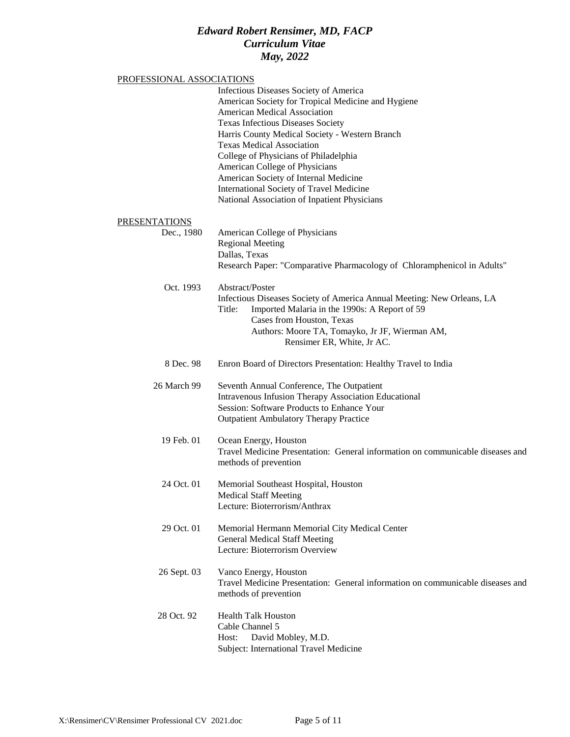#### PROFESSIONAL ASSOCIATIONS

|                      | Infectious Diseases Society of America<br>American Society for Tropical Medicine and Hygiene<br>American Medical Association<br><b>Texas Infectious Diseases Society</b><br>Harris County Medical Society - Western Branch<br><b>Texas Medical Association</b><br>College of Physicians of Philadelphia<br>American College of Physicians<br>American Society of Internal Medicine<br>International Society of Travel Medicine<br>National Association of Inpatient Physicians |
|----------------------|--------------------------------------------------------------------------------------------------------------------------------------------------------------------------------------------------------------------------------------------------------------------------------------------------------------------------------------------------------------------------------------------------------------------------------------------------------------------------------|
| <b>PRESENTATIONS</b> |                                                                                                                                                                                                                                                                                                                                                                                                                                                                                |
| Dec., 1980           | American College of Physicians<br><b>Regional Meeting</b><br>Dallas, Texas<br>Research Paper: "Comparative Pharmacology of Chloramphenicol in Adults"                                                                                                                                                                                                                                                                                                                          |
| Oct. 1993            | Abstract/Poster<br>Infectious Diseases Society of America Annual Meeting: New Orleans, LA<br>Imported Malaria in the 1990s: A Report of 59<br>Title:<br>Cases from Houston, Texas<br>Authors: Moore TA, Tomayko, Jr JF, Wierman AM,<br>Rensimer ER, White, Jr AC.                                                                                                                                                                                                              |
| 8 Dec. 98            | Enron Board of Directors Presentation: Healthy Travel to India                                                                                                                                                                                                                                                                                                                                                                                                                 |
| 26 March 99          | Seventh Annual Conference, The Outpatient<br><b>Intravenous Infusion Therapy Association Educational</b><br>Session: Software Products to Enhance Your<br><b>Outpatient Ambulatory Therapy Practice</b>                                                                                                                                                                                                                                                                        |
| 19 Feb. 01           | Ocean Energy, Houston<br>Travel Medicine Presentation: General information on communicable diseases and<br>methods of prevention                                                                                                                                                                                                                                                                                                                                               |
| 24 Oct. 01           | Memorial Southeast Hospital, Houston<br><b>Medical Staff Meeting</b><br>Lecture: Bioterrorism/Anthrax                                                                                                                                                                                                                                                                                                                                                                          |
| 29 Oct. 01           | Memorial Hermann Memorial City Medical Center<br><b>General Medical Staff Meeting</b><br>Lecture: Bioterrorism Overview                                                                                                                                                                                                                                                                                                                                                        |
| 26 Sept. 03          | Vanco Energy, Houston<br>Travel Medicine Presentation: General information on communicable diseases and<br>methods of prevention                                                                                                                                                                                                                                                                                                                                               |
| 28 Oct. 92           | <b>Health Talk Houston</b><br>Cable Channel 5<br>Host:<br>David Mobley, M.D.<br>Subject: International Travel Medicine                                                                                                                                                                                                                                                                                                                                                         |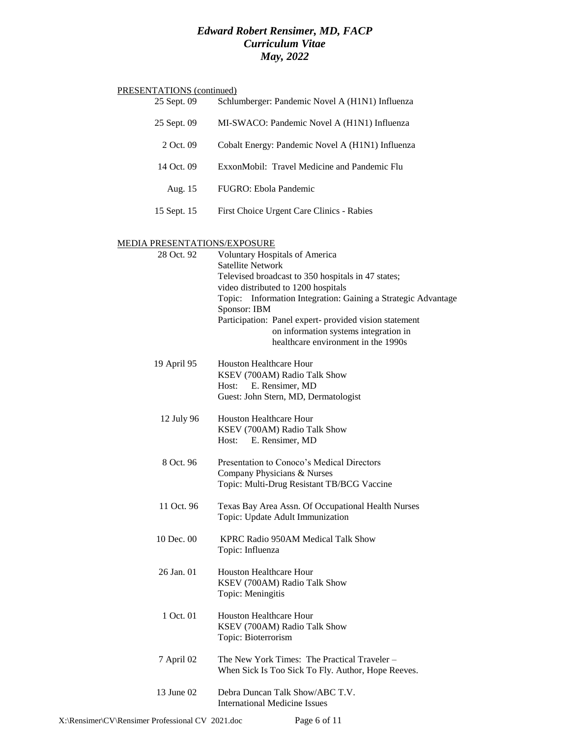| PRESENTATIONS (continued)           |                                                                                                                                                                                                                                                                                                                                                                                           |
|-------------------------------------|-------------------------------------------------------------------------------------------------------------------------------------------------------------------------------------------------------------------------------------------------------------------------------------------------------------------------------------------------------------------------------------------|
| 25 Sept. 09                         | Schlumberger: Pandemic Novel A (H1N1) Influenza                                                                                                                                                                                                                                                                                                                                           |
| 25 Sept. 09                         | MI-SWACO: Pandemic Novel A (H1N1) Influenza                                                                                                                                                                                                                                                                                                                                               |
| 2 Oct. 09                           | Cobalt Energy: Pandemic Novel A (H1N1) Influenza                                                                                                                                                                                                                                                                                                                                          |
| 14 Oct. 09                          | ExxonMobil: Travel Medicine and Pandemic Flu                                                                                                                                                                                                                                                                                                                                              |
| Aug. 15                             | FUGRO: Ebola Pandemic                                                                                                                                                                                                                                                                                                                                                                     |
| 15 Sept. 15                         | First Choice Urgent Care Clinics - Rabies                                                                                                                                                                                                                                                                                                                                                 |
| <u>MEDIA PRESENTATIONS/EXPOSURE</u> |                                                                                                                                                                                                                                                                                                                                                                                           |
| 28 Oct. 92                          | <b>Voluntary Hospitals of America</b><br><b>Satellite Network</b><br>Televised broadcast to 350 hospitals in 47 states;<br>video distributed to 1200 hospitals<br>Topic: Information Integration: Gaining a Strategic Advantage<br>Sponsor: IBM<br>Participation: Panel expert- provided vision statement<br>on information systems integration in<br>healthcare environment in the 1990s |
| 19 April 95                         | Houston Healthcare Hour<br>KSEV (700AM) Radio Talk Show<br>E. Rensimer, MD<br>Host:<br>Guest: John Stern, MD, Dermatologist                                                                                                                                                                                                                                                               |
| 12 July 96                          | <b>Houston Healthcare Hour</b><br>KSEV (700AM) Radio Talk Show<br>E. Rensimer, MD<br>Host:                                                                                                                                                                                                                                                                                                |
| 8 Oct. 96                           | Presentation to Conoco's Medical Directors<br>Company Physicians & Nurses<br>Topic: Multi-Drug Resistant TB/BCG Vaccine                                                                                                                                                                                                                                                                   |
| 11 Oct. 96                          | Texas Bay Area Assn. Of Occupational Health Nurses<br>Topic: Update Adult Immunization                                                                                                                                                                                                                                                                                                    |
| 10 Dec. 00                          | KPRC Radio 950AM Medical Talk Show<br>Topic: Influenza                                                                                                                                                                                                                                                                                                                                    |
| 26 Jan. 01                          | <b>Houston Healthcare Hour</b><br>KSEV (700AM) Radio Talk Show<br>Topic: Meningitis                                                                                                                                                                                                                                                                                                       |
| 1 Oct. 01                           | <b>Houston Healthcare Hour</b><br>KSEV (700AM) Radio Talk Show<br>Topic: Bioterrorism                                                                                                                                                                                                                                                                                                     |
| 7 April 02                          | The New York Times: The Practical Traveler -<br>When Sick Is Too Sick To Fly. Author, Hope Reeves.                                                                                                                                                                                                                                                                                        |
| 13 June 02                          | Debra Duncan Talk Show/ABC T.V.<br><b>International Medicine Issues</b>                                                                                                                                                                                                                                                                                                                   |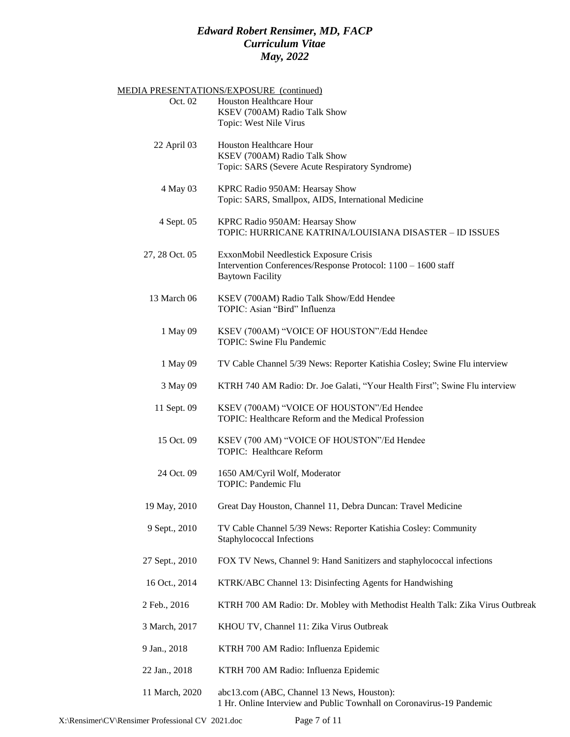|                | MEDIA PRESENTATIONS/EXPOSURE (continued)                                                                            |
|----------------|---------------------------------------------------------------------------------------------------------------------|
| Oct. 02        | Houston Healthcare Hour                                                                                             |
|                | KSEV (700AM) Radio Talk Show<br>Topic: West Nile Virus                                                              |
|                |                                                                                                                     |
| 22 April 03    | Houston Healthcare Hour                                                                                             |
|                | KSEV (700AM) Radio Talk Show<br>Topic: SARS (Severe Acute Respiratory Syndrome)                                     |
|                |                                                                                                                     |
| 4 May 03       | KPRC Radio 950AM: Hearsay Show                                                                                      |
|                | Topic: SARS, Smallpox, AIDS, International Medicine                                                                 |
| 4 Sept. 05     | KPRC Radio 950AM: Hearsay Show                                                                                      |
|                | TOPIC: HURRICANE KATRINA/LOUISIANA DISASTER - ID ISSUES                                                             |
| 27, 28 Oct. 05 | ExxonMobil Needlestick Exposure Crisis                                                                              |
|                | Intervention Conferences/Response Protocol: 1100 - 1600 staff                                                       |
|                | <b>Baytown Facility</b>                                                                                             |
| 13 March 06    | KSEV (700AM) Radio Talk Show/Edd Hendee                                                                             |
|                | TOPIC: Asian "Bird" Influenza                                                                                       |
| 1 May 09       | KSEV (700AM) "VOICE OF HOUSTON"/Edd Hendee                                                                          |
|                | <b>TOPIC: Swine Flu Pandemic</b>                                                                                    |
|                |                                                                                                                     |
| 1 May 09       | TV Cable Channel 5/39 News: Reporter Katishia Cosley; Swine Flu interview                                           |
| 3 May 09       | KTRH 740 AM Radio: Dr. Joe Galati, "Your Health First"; Swine Flu interview                                         |
| 11 Sept. 09    | KSEV (700AM) "VOICE OF HOUSTON"/Ed Hendee                                                                           |
|                | TOPIC: Healthcare Reform and the Medical Profession                                                                 |
| 15 Oct. 09     |                                                                                                                     |
|                | KSEV (700 AM) "VOICE OF HOUSTON"/Ed Hendee<br>TOPIC: Healthcare Reform                                              |
|                |                                                                                                                     |
| 24 Oct. 09     | 1650 AM/Cyril Wolf, Moderator<br>TOPIC: Pandemic Flu                                                                |
|                |                                                                                                                     |
| 19 May, 2010   | Great Day Houston, Channel 11, Debra Duncan: Travel Medicine                                                        |
| 9 Sept., 2010  | TV Cable Channel 5/39 News: Reporter Katishia Cosley: Community                                                     |
|                | Staphylococcal Infections                                                                                           |
| 27 Sept., 2010 | FOX TV News, Channel 9: Hand Sanitizers and staphylococcal infections                                               |
|                |                                                                                                                     |
| 16 Oct., 2014  | KTRK/ABC Channel 13: Disinfecting Agents for Handwishing                                                            |
| 2 Feb., 2016   | KTRH 700 AM Radio: Dr. Mobley with Methodist Health Talk: Zika Virus Outbreak                                       |
|                |                                                                                                                     |
| 3 March, 2017  | KHOU TV, Channel 11: Zika Virus Outbreak                                                                            |
| 9 Jan., 2018   | KTRH 700 AM Radio: Influenza Epidemic                                                                               |
| 22 Jan., 2018  | KTRH 700 AM Radio: Influenza Epidemic                                                                               |
|                |                                                                                                                     |
| 11 March, 2020 | abc13.com (ABC, Channel 13 News, Houston):<br>1 Hr. Online Interview and Public Townhall on Coronavirus-19 Pandemic |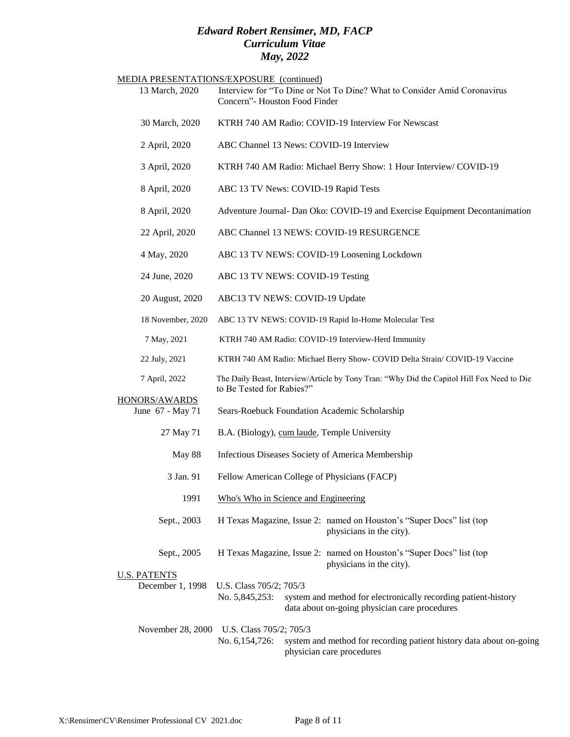|                                         | MEDIA PRESENTATIONS/EXPOSURE (continued)                                                                                                                     |
|-----------------------------------------|--------------------------------------------------------------------------------------------------------------------------------------------------------------|
| 13 March, 2020                          | Interview for "To Dine or Not To Dine? What to Consider Amid Coronavirus<br>Concern"- Houston Food Finder                                                    |
| 30 March, 2020                          | KTRH 740 AM Radio: COVID-19 Interview For Newscast                                                                                                           |
| 2 April, 2020                           | ABC Channel 13 News: COVID-19 Interview                                                                                                                      |
| 3 April, 2020                           | KTRH 740 AM Radio: Michael Berry Show: 1 Hour Interview/ COVID-19                                                                                            |
| 8 April, 2020                           | ABC 13 TV News: COVID-19 Rapid Tests                                                                                                                         |
| 8 April, 2020                           | Adventure Journal- Dan Oko: COVID-19 and Exercise Equipment Decontanimation                                                                                  |
| 22 April, 2020                          | ABC Channel 13 NEWS: COVID-19 RESURGENCE                                                                                                                     |
| 4 May, 2020                             | ABC 13 TV NEWS: COVID-19 Loosening Lockdown                                                                                                                  |
| 24 June, 2020                           | ABC 13 TV NEWS: COVID-19 Testing                                                                                                                             |
| 20 August, 2020                         | ABC13 TV NEWS: COVID-19 Update                                                                                                                               |
| 18 November, 2020                       | ABC 13 TV NEWS: COVID-19 Rapid In-Home Molecular Test                                                                                                        |
| 7 May, 2021                             | KTRH 740 AM Radio: COVID-19 Interview-Herd Immunity                                                                                                          |
| 22 July, 2021                           | KTRH 740 AM Radio: Michael Berry Show- COVID Delta Strain/COVID-19 Vaccine                                                                                   |
| 7 April, 2022                           | The Daily Beast, Interview/Article by Tony Tran: "Why Did the Capitol Hill Fox Need to Die<br>to Be Tested for Rabies?"                                      |
| HONORS/AWARDS<br>June 67 - May 71       | Sears-Roebuck Foundation Academic Scholarship                                                                                                                |
|                                         |                                                                                                                                                              |
| 27 May 71                               | B.A. (Biology), cum laude, Temple University                                                                                                                 |
| May 88                                  | Infectious Diseases Society of America Membership                                                                                                            |
| 3 Jan. 91                               | Fellow American College of Physicians (FACP)                                                                                                                 |
| 1991                                    | Who's Who in Science and Engineering                                                                                                                         |
| Sept., 2003                             | H Texas Magazine, Issue 2: named on Houston's "Super Docs" list (top<br>physicians in the city).                                                             |
| Sept., 2005                             | H Texas Magazine, Issue 2: named on Houston's "Super Docs" list (top<br>physicians in the city).                                                             |
| <u>U.S. PATENTS</u><br>December 1, 1998 | U.S. Class 705/2; 705/3<br>No. 5,845,253:<br>system and method for electronically recording patient-history<br>data about on-going physician care procedures |
| November 28, 2000                       | U.S. Class 705/2; 705/3<br>No. 6,154,726:<br>system and method for recording patient history data about on-going<br>physician care procedures                |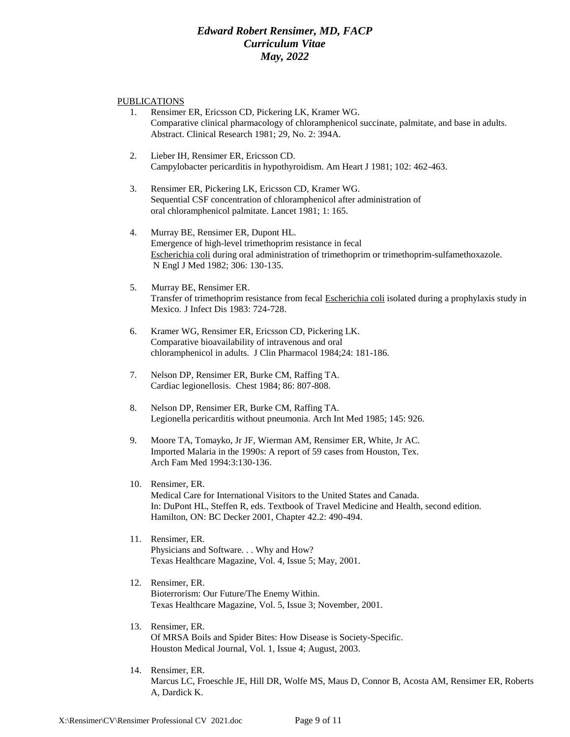#### PUBLICATIONS

- 1. Rensimer ER, Ericsson CD, Pickering LK, Kramer WG. Comparative clinical pharmacology of chloramphenicol succinate, palmitate, and base in adults. Abstract. Clinical Research 1981; 29, No. 2: 394A.
- 2. Lieber IH, Rensimer ER, Ericsson CD. Campylobacter pericarditis in hypothyroidism. Am Heart J 1981; 102: 462-463.
- 3. Rensimer ER, Pickering LK, Ericsson CD, Kramer WG. Sequential CSF concentration of chloramphenicol after administration of oral chloramphenicol palmitate. Lancet 1981; 1: 165.
- 4. Murray BE, Rensimer ER, Dupont HL. Emergence of high-level trimethoprim resistance in fecal Escherichia coli during oral administration of trimethoprim or trimethoprim-sulfamethoxazole. N Engl J Med 1982; 306: 130-135.
- 5. Murray BE, Rensimer ER. Transfer of trimethoprim resistance from fecal Escherichia coli isolated during a prophylaxis study in Mexico. J Infect Dis 1983: 724-728.
- 6. Kramer WG, Rensimer ER, Ericsson CD, Pickering LK. Comparative bioavailability of intravenous and oral chloramphenicol in adults. J Clin Pharmacol 1984;24: 181-186.
- 7. Nelson DP, Rensimer ER, Burke CM, Raffing TA. Cardiac legionellosis. Chest 1984; 86: 807-808.
- 8. Nelson DP, Rensimer ER, Burke CM, Raffing TA. Legionella pericarditis without pneumonia. Arch Int Med 1985; 145: 926.
- 9. Moore TA, Tomayko, Jr JF, Wierman AM, Rensimer ER, White, Jr AC. Imported Malaria in the 1990s: A report of 59 cases from Houston, Tex. Arch Fam Med 1994:3:130-136.
- 10. Rensimer, ER. Medical Care for International Visitors to the United States and Canada. In: DuPont HL, Steffen R, eds. Textbook of Travel Medicine and Health, second edition. Hamilton, ON: BC Decker 2001, Chapter 42.2: 490-494.
- 11. Rensimer, ER. Physicians and Software. . . Why and How? Texas Healthcare Magazine, Vol. 4, Issue 5; May, 2001.
- 12. Rensimer, ER. Bioterrorism: Our Future/The Enemy Within. Texas Healthcare Magazine, Vol. 5, Issue 3; November, 2001.
- 13. Rensimer, ER. Of MRSA Boils and Spider Bites: How Disease is Society-Specific. Houston Medical Journal, Vol. 1, Issue 4; August, 2003.
- 14. Rensimer, ER. Marcus LC, Froeschle JE, Hill DR, Wolfe MS, Maus D, Connor B, Acosta AM, Rensimer ER, Roberts A, Dardick K.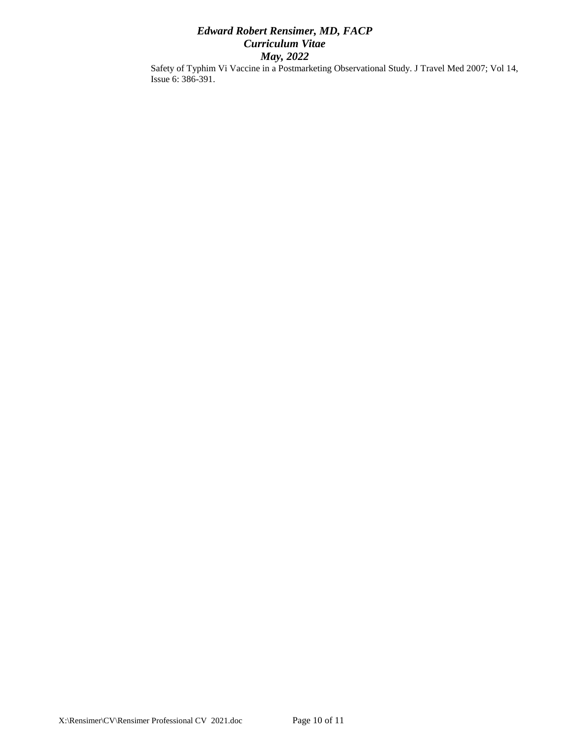Safety of Typhim Vi Vaccine in a Postmarketing Observational Study. J Travel Med 2007; Vol 14, Issue 6: 386-391.